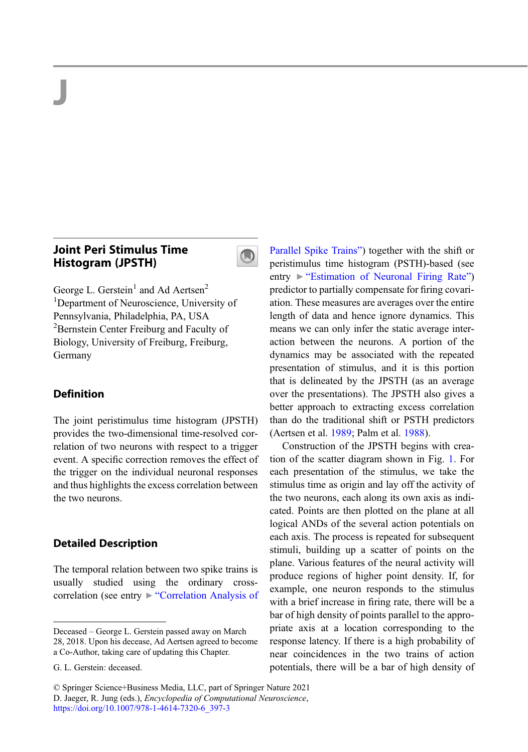# J

# Joint Peri Stimulus Time Histogram (JPSTH)



George L. Gerstein<sup>1</sup> and Ad Aertsen<sup>2</sup> <sup>1</sup>Department of Neuroscience, University of Pennsylvania, Philadelphia, PA, USA <sup>2</sup>Bernstein Center Freiburg and Faculty of Biology, University of Freiburg, Freiburg, Germany

## Definition

The joint peristimulus time histogram (JPSTH) provides the two-dimensional time-resolved correlation of two neurons with respect to a trigger event. A specific correction removes the effect of the trigger on the individual neuronal responses and thus highlights the excess correlation between the two neurons.

#### Detailed Description

The temporal relation between two spike trains is usually studied using the ordinary crosscorrelation (see entry ▶ "[Correlation Analysis of](http://link.springer.com/search?facet-eisbn=978-1-4614-7320-6&facet-content-type=ReferenceWorkEntry&query=Correlation Analysis of Parallel Spike Trains)

© Springer Science+Business Media, LLC, part of Springer Nature 2021 D. Jaeger, R. Jung (eds.), Encyclopedia of Computational Neuroscience, [https://doi.org/10.1007/978-1-4614-7320-6\\_397-3](https://doi.org/10.1007/978-1-4614-7320-6_397-3)

[Parallel Spike Trains](http://link.springer.com/search?facet-eisbn=978-1-4614-7320-6&facet-content-type=ReferenceWorkEntry&query=Correlation Analysis of Parallel Spike Trains)") together with the shift or peristimulus time histogram (PSTH)-based (see entry ▶ "[Estimation of Neuronal Firing Rate](http://link.springer.com/search?facet-eisbn=978-1-4614-7320-6&facet-content-type=ReferenceWorkEntry&query=Estimation of Neuronal Firing Rate)") predictor to partially compensate for firing covariation. These measures are averages over the entire length of data and hence ignore dynamics. This means we can only infer the static average interaction between the neurons. A portion of the dynamics may be associated with the repeated presentation of stimulus, and it is this portion that is delineated by the JPSTH (as an average over the presentations). The JPSTH also gives a better approach to extracting excess correlation than do the traditional shift or PSTH predictors (Aertsen et al. [1989](#page-3-0); Palm et al. [1988](#page-3-0)).

Construction of the JPSTH begins with creation of the scatter diagram shown in Fig. [1.](#page-1-0) For each presentation of the stimulus, we take the stimulus time as origin and lay off the activity of the two neurons, each along its own axis as indicated. Points are then plotted on the plane at all logical ANDs of the several action potentials on each axis. The process is repeated for subsequent stimuli, building up a scatter of points on the plane. Various features of the neural activity will produce regions of higher point density. If, for example, one neuron responds to the stimulus with a brief increase in firing rate, there will be a bar of high density of points parallel to the appropriate axis at a location corresponding to the response latency. If there is a high probability of near coincidences in the two trains of action potentials, there will be a bar of high density of

Deceased – George L. Gerstein passed away on March 28, 2018. Upon his decease, Ad Aertsen agreed to become a Co-Author, taking care of updating this Chapter.

G. L. Gerstein: deceased.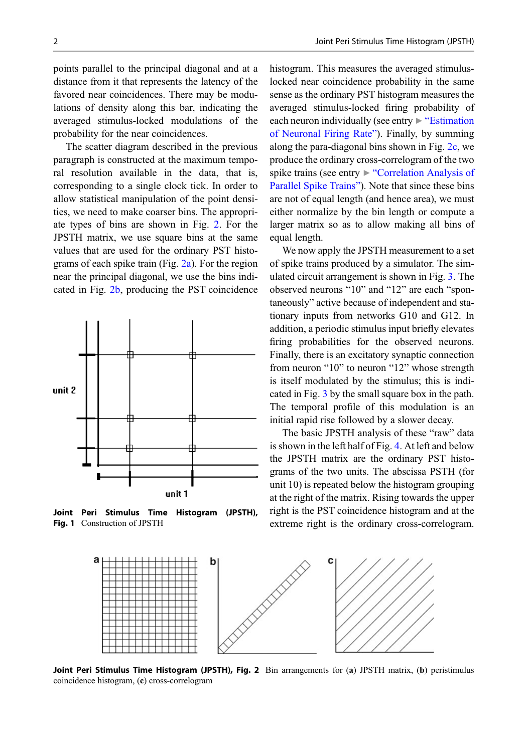<span id="page-1-0"></span>points parallel to the principal diagonal and at a distance from it that represents the latency of the favored near coincidences. There may be modulations of density along this bar, indicating the averaged stimulus-locked modulations of the probability for the near coincidences.

The scatter diagram described in the previous paragraph is constructed at the maximum temporal resolution available in the data, that is, corresponding to a single clock tick. In order to allow statistical manipulation of the point densities, we need to make coarser bins. The appropriate types of bins are shown in Fig. 2. For the JPSTH matrix, we use square bins at the same values that are used for the ordinary PST histograms of each spike train (Fig. 2a). For the region near the principal diagonal, we use the bins indicated in Fig. 2b, producing the PST coincidence



Joint Peri Stimulus Time Histogram (JPSTH), Fig. 1 Construction of JPSTH

histogram. This measures the averaged stimuluslocked near coincidence probability in the same sense as the ordinary PST histogram measures the averaged stimulus-locked firing probability of each neuron individually (see entry  $\triangleright$  "[Estimation](http://link.springer.com/search?facet-eisbn=978-1-4614-7320-6&facet-content-type=ReferenceWorkEntry&query=Estimation of Neuronal Firing Rate)" [of Neuronal Firing Rate](http://link.springer.com/search?facet-eisbn=978-1-4614-7320-6&facet-content-type=ReferenceWorkEntry&query=Estimation of Neuronal Firing Rate)"). Finally, by summing along the para-diagonal bins shown in Fig. 2c, we produce the ordinary cross-correlogram of the two spike trains (see entry ► "[Correlation Analysis of](http://link.springer.com/search?facet-eisbn=978-1-4614-7320-6&facet-content-type=ReferenceWorkEntry&query=Correlation Analysis of Parallel Spike Trains) [Parallel Spike Trains](http://link.springer.com/search?facet-eisbn=978-1-4614-7320-6&facet-content-type=ReferenceWorkEntry&query=Correlation Analysis of Parallel Spike Trains)"). Note that since these bins are not of equal length (and hence area), we must either normalize by the bin length or compute a larger matrix so as to allow making all bins of equal length.

We now apply the JPSTH measurement to a set of spike trains produced by a simulator. The simulated circuit arrangement is shown in Fig. [3](#page-2-0). The observed neurons "10" and "12" are each "spontaneously" active because of independent and stationary inputs from networks G10 and G12. In addition, a periodic stimulus input briefly elevates firing probabilities for the observed neurons. Finally, there is an excitatory synaptic connection from neuron "10" to neuron "12" whose strength is itself modulated by the stimulus; this is indicated in Fig. [3](#page-2-0) by the small square box in the path. The temporal profile of this modulation is an initial rapid rise followed by a slower decay.

The basic JPSTH analysis of these "raw" data is shown in the left half of Fig. [4](#page-2-0). At left and below the JPSTH matrix are the ordinary PST histograms of the two units. The abscissa PSTH (for unit 10) is repeated below the histogram grouping at the right of the matrix. Rising towards the upper right is the PST coincidence histogram and at the extreme right is the ordinary cross-correlogram.



Joint Peri Stimulus Time Histogram (JPSTH), Fig. 2 Bin arrangements for (a) JPSTH matrix, (b) peristimulus coincidence histogram, (c) cross-correlogram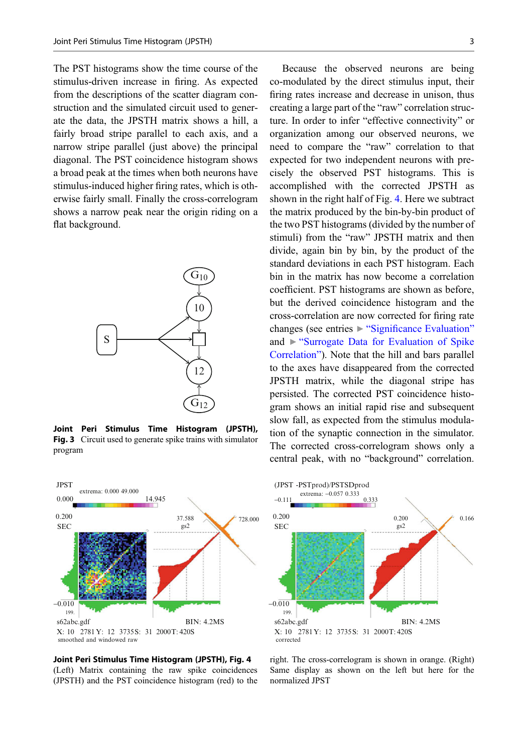<span id="page-2-0"></span>The PST histograms show the time course of the stimulus-driven increase in firing. As expected from the descriptions of the scatter diagram construction and the simulated circuit used to generate the data, the JPSTH matrix shows a hill, a fairly broad stripe parallel to each axis, and a narrow stripe parallel (just above) the principal diagonal. The PST coincidence histogram shows a broad peak at the times when both neurons have stimulus-induced higher firing rates, which is otherwise fairly small. Finally the cross-correlogram shows a narrow peak near the origin riding on a flat background.



Joint Peri Stimulus Time Histogram (JPSTH), Fig. 3 Circuit used to generate spike trains with simulator program



Joint Peri Stimulus Time Histogram (JPSTH), Fig. 4 (Left) Matrix containing the raw spike coincidences (JPSTH) and the PST coincidence histogram (red) to the

Because the observed neurons are being co-modulated by the direct stimulus input, their firing rates increase and decrease in unison, thus creating a large part of the "raw" correlation structure. In order to infer "effective connectivity" or organization among our observed neurons, we need to compare the "raw" correlation to that expected for two independent neurons with precisely the observed PST histograms. This is accomplished with the corrected JPSTH as shown in the right half of Fig. 4. Here we subtract the matrix produced by the bin-by-bin product of the two PST histograms (divided by the number of stimuli) from the "raw" JPSTH matrix and then divide, again bin by bin, by the product of the standard deviations in each PST histogram. Each bin in the matrix has now become a correlation coefficient. PST histograms are shown as before, but the derived coincidence histogram and the cross-correlation are now corrected for firing rate changes (see entries ▶ "Signifi[cance Evaluation](http://link.springer.com/search?facet-eisbn=978-1-4614-7320-6&facet-content-type=ReferenceWorkEntry&query=Significance Evaluation)" and ▶ "[Surrogate Data for Evaluation of Spike](http://link.springer.com/search?facet-eisbn=978-1-4614-7320-6&facet-content-type=ReferenceWorkEntry&query=Surrogate Data for Evaluation of Spike Correlation) [Correlation](http://link.springer.com/search?facet-eisbn=978-1-4614-7320-6&facet-content-type=ReferenceWorkEntry&query=Surrogate Data for Evaluation of Spike Correlation)"). Note that the hill and bars parallel to the axes have disappeared from the corrected JPSTH matrix, while the diagonal stripe has persisted. The corrected PST coincidence histogram shows an initial rapid rise and subsequent slow fall, as expected from the stimulus modulation of the synaptic connection in the simulator. The corrected cross-correlogram shows only a central peak, with no "background" correlation.



right. The cross-correlogram is shown in orange. (Right) Same display as shown on the left but here for the normalized JPST